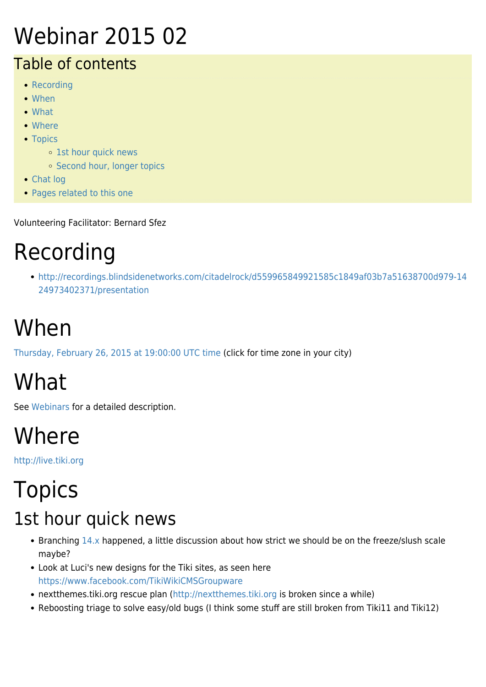### Webinar 2015 02

#### Table of contents

- [Recording](#page--1-0)
- [When](#page--1-0)
- [What](#page--1-0)
- [Where](#page--1-0)
- [Topics](#page--1-0)
	- o [1st hour quick news](#page--1-0)
	- [Second hour, longer topics](#page--1-0)
- [Chat log](#page--1-0)
- [Pages related to this one](#page--1-0)

Volunteering Facilitator: Bernard Sfez

### Recording

[http://recordings.blindsidenetworks.com/citadelrock/d559965849921585c1849af03b7a51638700d979-14](http://recordings.blindsidenetworks.com/citadelrock/d559965849921585c1849af03b7a51638700d979-1424973402371/presentation) [24973402371/presentation](http://recordings.blindsidenetworks.com/citadelrock/d559965849921585c1849af03b7a51638700d979-1424973402371/presentation)

# When

[Thursday, February 26, 2015 at 19:00:00 UTC time](http://www.timeanddate.com/worldclock/fixedtime.html?year=2015&month=02&day=26&hour=19&min=0&sec=0) (click for time zone in your city)

# What

See [Webinars](https://tiki.org/Roundtable-Meetings) for a detailed description.

## Where

<http://live.tiki.org>

#### Topics 1st hour quick news

- Branching [14.x](https://sourceforge.net/p/tikiwiki/code/HEAD/tree/branches/14.x/) happened, a little discussion about how strict we should be on the freeze/slush scale maybe?
- Look at Luci's new designs for the Tiki sites, as seen here <https://www.facebook.com/TikiWikiCMSGroupware>
- nextthemes.tiki.org rescue plan (<http://nextthemes.tiki.org> is broken since a while)
- Reboosting triage to solve easy/old bugs (I think some stuff are still broken from Tiki11 and Tiki12)